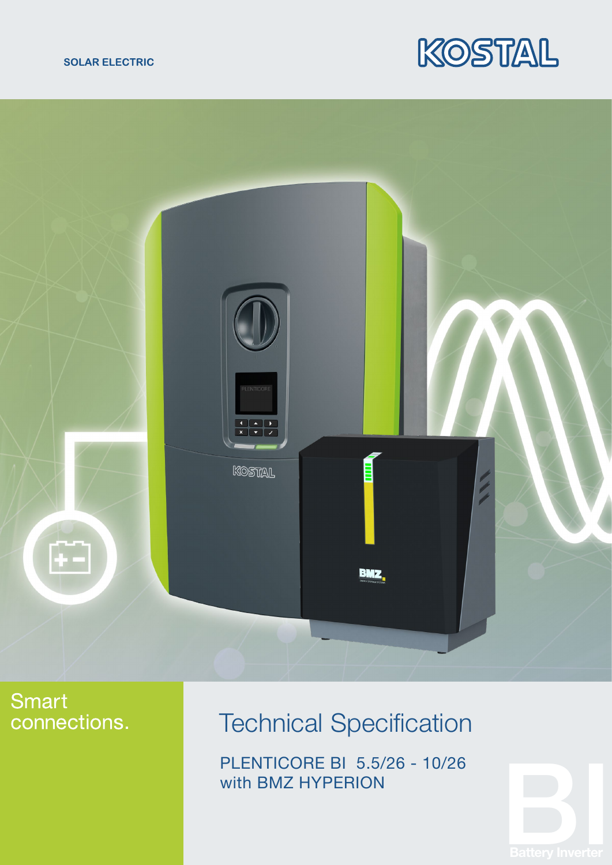





## **Smart** connections.

## Technical Specification

PLENTICORE BI 5.5/26 - 10/26 with BMZ HYPERION